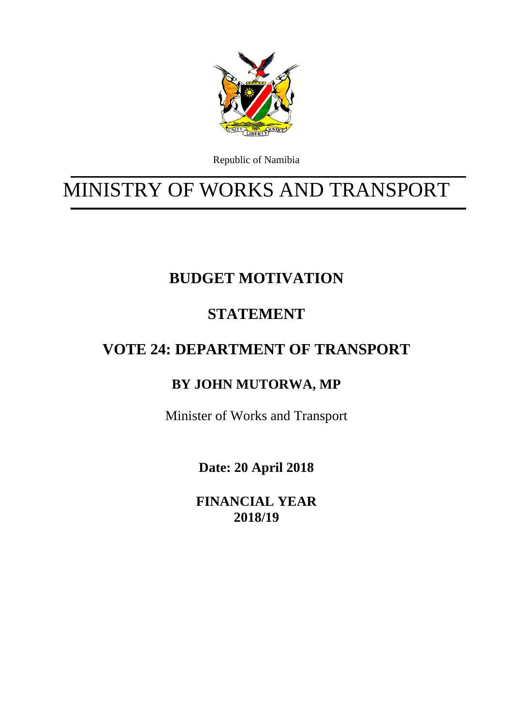

Republic of Namibia

# MINISTRY OF WORKS AND TRANSPORT

## **BUDGET MOTIVATION**

## **STATEMENT**

## **VOTE 24: DEPARTMENT OF TRANSPORT**

## **BY JOHN MUTORWA, MP**

Minister of Works and Transport

**Date: 20 April 2018** 

**FINANCIAL YEAR 2018/19**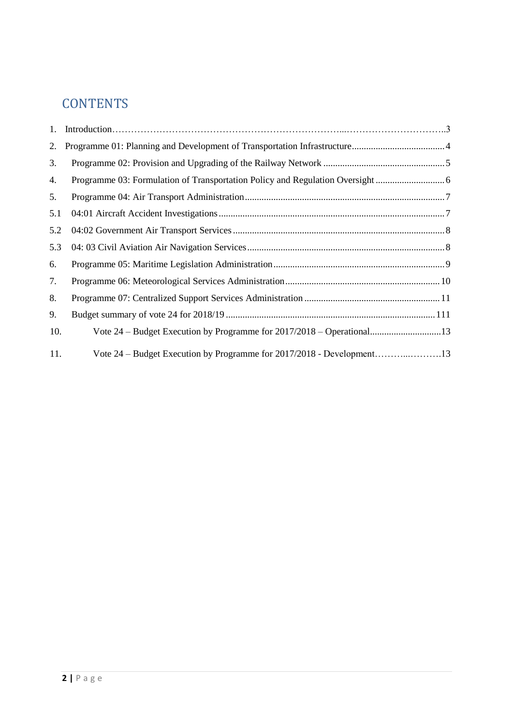## **CONTENTS**

| 1.  |  |
|-----|--|
| 2.  |  |
| 3.  |  |
| 4.  |  |
| 5.  |  |
| 5.1 |  |
| 5.2 |  |
| 5.3 |  |
| 6.  |  |
| 7.  |  |
| 8.  |  |
| 9.  |  |
| 10. |  |
| 11. |  |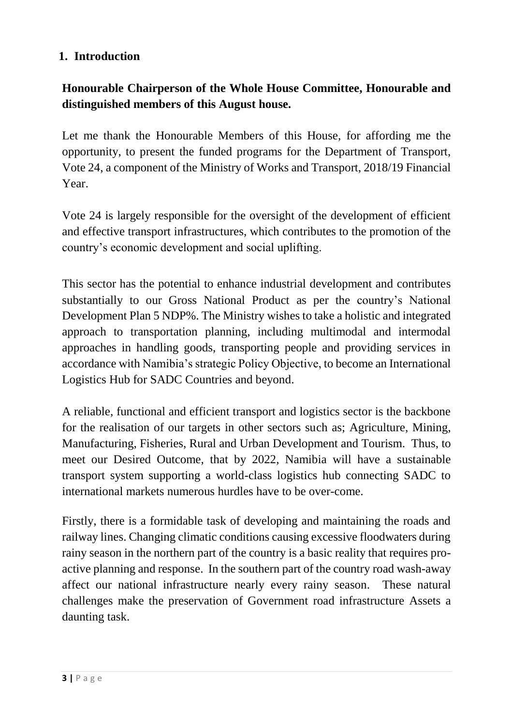#### **1. Introduction**

#### **Honourable Chairperson of the Whole House Committee, Honourable and distinguished members of this August house.**

Let me thank the Honourable Members of this House, for affording me the opportunity, to present the funded programs for the Department of Transport, Vote 24, a component of the Ministry of Works and Transport, 2018/19 Financial Year.

Vote 24 is largely responsible for the oversight of the development of efficient and effective transport infrastructures, which contributes to the promotion of the country's economic development and social uplifting.

This sector has the potential to enhance industrial development and contributes substantially to our Gross National Product as per the country's National Development Plan 5 NDP%. The Ministry wishes to take a holistic and integrated approach to transportation planning, including multimodal and intermodal approaches in handling goods, transporting people and providing services in accordance with Namibia's strategic Policy Objective, to become an International Logistics Hub for SADC Countries and beyond.

A reliable, functional and efficient transport and logistics sector is the backbone for the realisation of our targets in other sectors such as; Agriculture, Mining, Manufacturing, Fisheries, Rural and Urban Development and Tourism. Thus, to meet our Desired Outcome, that by 2022, Namibia will have a sustainable transport system supporting a world-class logistics hub connecting SADC to international markets numerous hurdles have to be over-come.

Firstly, there is a formidable task of developing and maintaining the roads and railway lines. Changing climatic conditions causing excessive floodwaters during rainy season in the northern part of the country is a basic reality that requires proactive planning and response. In the southern part of the country road wash-away affect our national infrastructure nearly every rainy season. These natural challenges make the preservation of Government road infrastructure Assets a daunting task.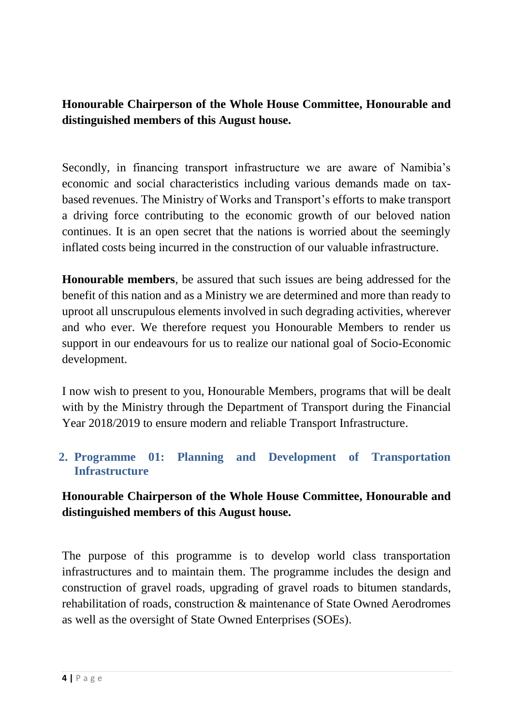**Honourable Chairperson of the Whole House Committee, Honourable and distinguished members of this August house.**

Secondly, in financing transport infrastructure we are aware of Namibia's economic and social characteristics including various demands made on taxbased revenues. The Ministry of Works and Transport's efforts to make transport a driving force contributing to the economic growth of our beloved nation continues. It is an open secret that the nations is worried about the seemingly inflated costs being incurred in the construction of our valuable infrastructure.

**Honourable members**, be assured that such issues are being addressed for the benefit of this nation and as a Ministry we are determined and more than ready to uproot all unscrupulous elements involved in such degrading activities, wherever and who ever. We therefore request you Honourable Members to render us support in our endeavours for us to realize our national goal of Socio-Economic development.

I now wish to present to you, Honourable Members, programs that will be dealt with by the Ministry through the Department of Transport during the Financial Year 2018/2019 to ensure modern and reliable Transport Infrastructure.

#### <span id="page-3-0"></span>**2. Programme 01: Planning and Development of Transportation Infrastructure**

#### **Honourable Chairperson of the Whole House Committee, Honourable and distinguished members of this August house.**

The purpose of this programme is to develop world class transportation infrastructures and to maintain them. The programme includes the design and construction of gravel roads, upgrading of gravel roads to bitumen standards, rehabilitation of roads, construction & maintenance of State Owned Aerodromes as well as the oversight of State Owned Enterprises (SOEs).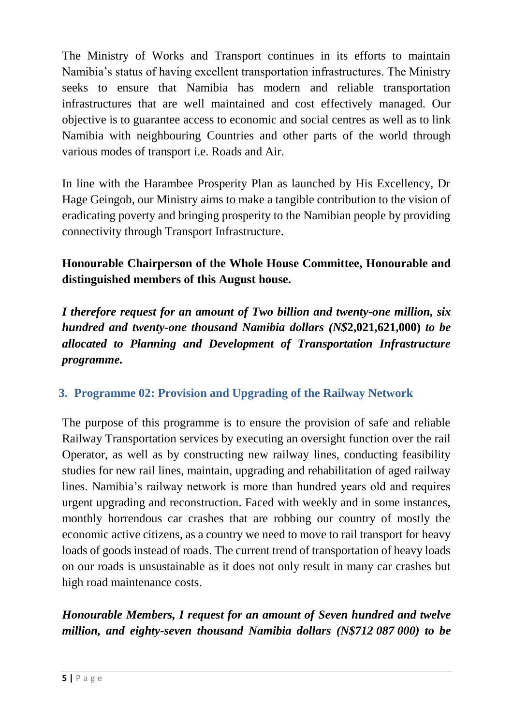The Ministry of Works and Transport continues in its efforts to maintain Namibia's status of having excellent transportation infrastructures. The Ministry seeks to ensure that Namibia has modern and reliable transportation infrastructures that are well maintained and cost effectively managed. Our objective is to guarantee access to economic and social centres as well as to link Namibia with neighbouring Countries and other parts of the world through various modes of transport i.e. Roads and Air.

In line with the Harambee Prosperity Plan as launched by His Excellency, Dr Hage Geingob, our Ministry aims to make a tangible contribution to the vision of eradicating poverty and bringing prosperity to the Namibian people by providing connectivity through Transport Infrastructure.

## **Honourable Chairperson of the Whole House Committee, Honourable and distinguished members of this August house.**

*I therefore request for an amount of Two billion and twenty-one million, six hundred and twenty-one thousand Namibia dollars (N\$***2,021,621,000)** *to be allocated to Planning and Development of Transportation Infrastructure programme.*

#### <span id="page-4-0"></span>**3. Programme 02: Provision and Upgrading of the Railway Network**

The purpose of this programme is to ensure the provision of safe and reliable Railway Transportation services by executing an oversight function over the rail Operator, as well as by constructing new railway lines, conducting feasibility studies for new rail lines, maintain, upgrading and rehabilitation of aged railway lines. Namibia's railway network is more than hundred years old and requires urgent upgrading and reconstruction. Faced with weekly and in some instances, monthly horrendous car crashes that are robbing our country of mostly the economic active citizens, as a country we need to move to rail transport for heavy loads of goods instead of roads. The current trend of transportation of heavy loads on our roads is unsustainable as it does not only result in many car crashes but high road maintenance costs.

## *Honourable Members, I request for an amount of Seven hundred and twelve million, and eighty-seven thousand Namibia dollars (N\$712 087 000) to be*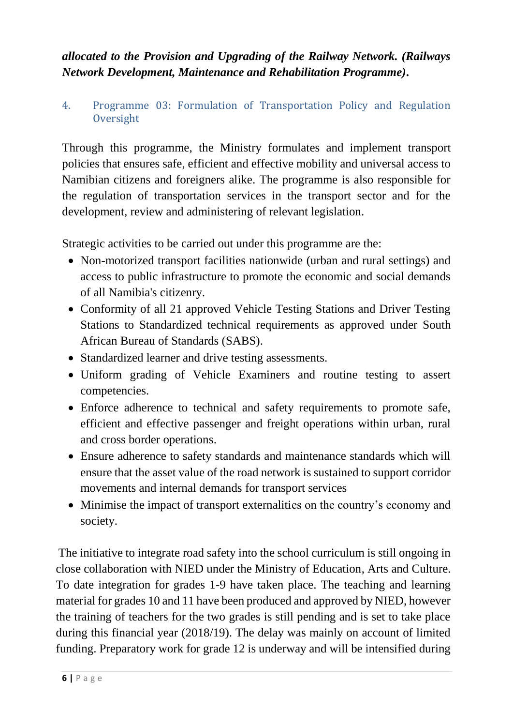### *allocated to the Provision and Upgrading of the Railway Network. (Railways Network Development, Maintenance and Rehabilitation Programme)***.**

#### <span id="page-5-0"></span>4. Programme 03: Formulation of Transportation Policy and Regulation **Oversight**

Through this programme, the Ministry formulates and implement transport policies that ensures safe, efficient and effective mobility and universal access to Namibian citizens and foreigners alike. The programme is also responsible for the regulation of transportation services in the transport sector and for the development, review and administering of relevant legislation.

Strategic activities to be carried out under this programme are the:

- Non-motorized transport facilities nationwide (urban and rural settings) and access to public infrastructure to promote the economic and social demands of all Namibia's citizenry.
- Conformity of all 21 approved Vehicle Testing Stations and Driver Testing Stations to Standardized technical requirements as approved under South African Bureau of Standards (SABS).
- Standardized learner and drive testing assessments.
- Uniform grading of Vehicle Examiners and routine testing to assert competencies.
- Enforce adherence to technical and safety requirements to promote safe, efficient and effective passenger and freight operations within urban, rural and cross border operations.
- Ensure adherence to safety standards and maintenance standards which will ensure that the asset value of the road network is sustained to support corridor movements and internal demands for transport services
- Minimise the impact of transport externalities on the country's economy and society.

The initiative to integrate road safety into the school curriculum is still ongoing in close collaboration with NIED under the Ministry of Education, Arts and Culture. To date integration for grades 1-9 have taken place. The teaching and learning material for grades 10 and 11 have been produced and approved by NIED, however the training of teachers for the two grades is still pending and is set to take place during this financial year (2018/19). The delay was mainly on account of limited funding. Preparatory work for grade 12 is underway and will be intensified during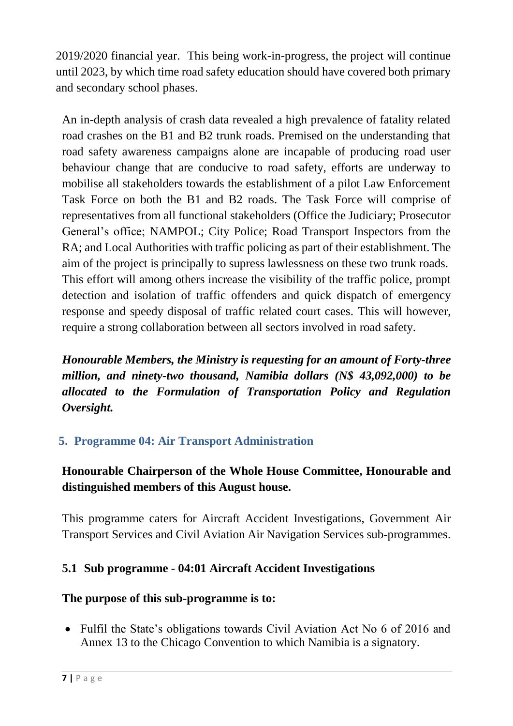2019/2020 financial year. This being work-in-progress, the project will continue until 2023, by which time road safety education should have covered both primary and secondary school phases.

An in-depth analysis of crash data revealed a high prevalence of fatality related road crashes on the B1 and B2 trunk roads. Premised on the understanding that road safety awareness campaigns alone are incapable of producing road user behaviour change that are conducive to road safety, efforts are underway to mobilise all stakeholders towards the establishment of a pilot Law Enforcement Task Force on both the B1 and B2 roads. The Task Force will comprise of representatives from all functional stakeholders (Office the Judiciary; Prosecutor General's office; NAMPOL; City Police; Road Transport Inspectors from the RA; and Local Authorities with traffic policing as part of their establishment. The aim of the project is principally to supress lawlessness on these two trunk roads. This effort will among others increase the visibility of the traffic police, prompt detection and isolation of traffic offenders and quick dispatch of emergency response and speedy disposal of traffic related court cases. This will however, require a strong collaboration between all sectors involved in road safety.

*Honourable Members, the Ministry is requesting for an amount of Forty-three million, and ninety-two thousand, Namibia dollars (N\$ 43,092,000) to be allocated to the Formulation of Transportation Policy and Regulation Oversight.*

### <span id="page-6-0"></span>**5. Programme 04: Air Transport Administration**

### **Honourable Chairperson of the Whole House Committee, Honourable and distinguished members of this August house.**

This programme caters for Aircraft Accident Investigations, Government Air Transport Services and Civil Aviation Air Navigation Services sub-programmes.

#### <span id="page-6-1"></span>**5.1 Sub programme - 04:01 Aircraft Accident Investigations**

#### **The purpose of this sub-programme is to:**

• Fulfil the State's obligations towards Civil Aviation Act No 6 of 2016 and Annex 13 to the Chicago Convention to which Namibia is a signatory.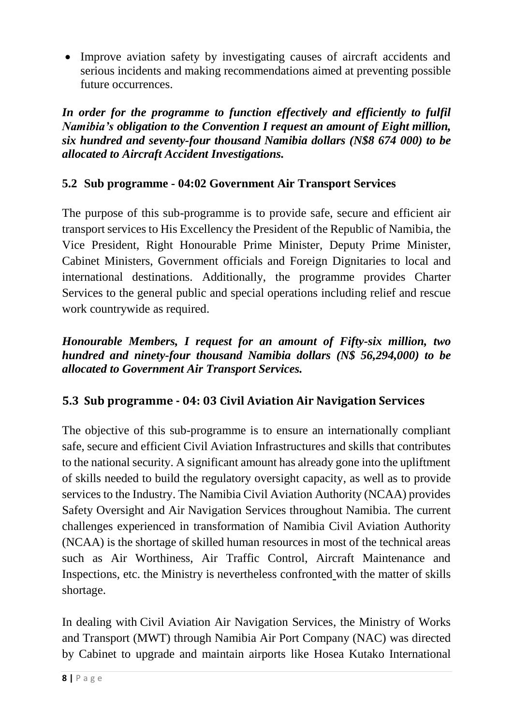Improve aviation safety by investigating causes of aircraft accidents and serious incidents and making recommendations aimed at preventing possible future occurrences.

*In order for the programme to function effectively and efficiently to fulfil Namibia's obligation to the Convention I request an amount of Eight million, six hundred and seventy-four thousand Namibia dollars (N\$8 674 000) to be allocated to Aircraft Accident Investigations.*

#### <span id="page-7-0"></span>**5.2 Sub programme - 04:02 Government Air Transport Services**

The purpose of this sub-programme is to provide safe, secure and efficient air transport services to His Excellency the President of the Republic of Namibia, the Vice President, Right Honourable Prime Minister, Deputy Prime Minister, Cabinet Ministers, Government officials and Foreign Dignitaries to local and international destinations. Additionally, the programme provides Charter Services to the general public and special operations including relief and rescue work countrywide as required.

*Honourable Members, I request for an amount of Fifty-six million, two hundred and ninety-four thousand Namibia dollars (N\$ 56,294,000) to be allocated to Government Air Transport Services.*

### <span id="page-7-1"></span>**5.3 Sub programme - 04: 03 Civil Aviation Air Navigation Services**

The objective of this sub-programme is to ensure an internationally compliant safe, secure and efficient Civil Aviation Infrastructures and skills that contributes to the national security. A significant amount has already gone into the upliftment of skills needed to build the regulatory oversight capacity, as well as to provide services to the Industry. The Namibia Civil Aviation Authority (NCAA) provides Safety Oversight and Air Navigation Services throughout Namibia. The current challenges experienced in transformation of Namibia Civil Aviation Authority (NCAA) is the shortage of skilled human resources in most of the technical areas such as Air Worthiness, Air Traffic Control, Aircraft Maintenance and Inspections, etc. the Ministry is nevertheless confronted with the matter of skills shortage.

In dealing with Civil Aviation Air Navigation Services, the Ministry of Works and Transport (MWT) through Namibia Air Port Company (NAC) was directed by Cabinet to upgrade and maintain airports like Hosea Kutako International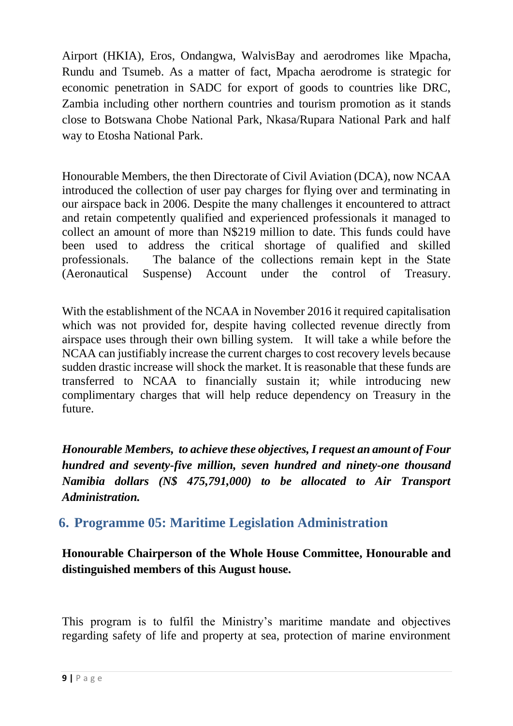Airport (HKIA), Eros, Ondangwa, WalvisBay and aerodromes like Mpacha, Rundu and Tsumeb. As a matter of fact, Mpacha aerodrome is strategic for economic penetration in SADC for export of goods to countries like DRC, Zambia including other northern countries and tourism promotion as it stands close to Botswana Chobe National Park, Nkasa/Rupara National Park and half way to Etosha National Park.

Honourable Members, the then Directorate of Civil Aviation (DCA), now NCAA introduced the collection of user pay charges for flying over and terminating in our airspace back in 2006. Despite the many challenges it encountered to attract and retain competently qualified and experienced professionals it managed to collect an amount of more than N\$219 million to date. This funds could have been used to address the critical shortage of qualified and skilled professionals. The balance of the collections remain kept in the State (Aeronautical Suspense) Account under the control of Treasury.

With the establishment of the NCAA in November 2016 it required capitalisation which was not provided for, despite having collected revenue directly from airspace uses through their own billing system. It will take a while before the NCAA can justifiably increase the current charges to cost recovery levels because sudden drastic increase will shock the market. It is reasonable that these funds are transferred to NCAA to financially sustain it; while introducing new complimentary charges that will help reduce dependency on Treasury in the future.

*Honourable Members, to achieve these objectives,Irequest an amount of Four hundred and seventy-five million, seven hundred and ninety-one thousand Namibia dollars (N\$ 475,791,000) to be allocated to Air Transport Administration.*

## <span id="page-8-0"></span>**6. Programme 05: Maritime Legislation Administration**

**Honourable Chairperson of the Whole House Committee, Honourable and distinguished members of this August house.**

This program is to fulfil the Ministry's maritime mandate and objectives regarding safety of life and property at sea, protection of marine environment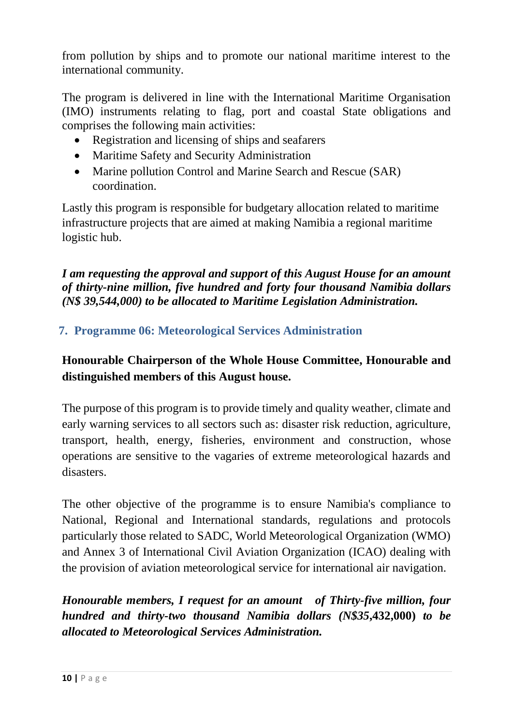from pollution by ships and to promote our national maritime interest to the international community.

The program is delivered in line with the International Maritime Organisation (IMO) instruments relating to flag, port and coastal State obligations and comprises the following main activities:

- Registration and licensing of ships and seafarers
- Maritime Safety and Security Administration
- Marine pollution Control and Marine Search and Rescue (SAR) coordination.

Lastly this program is responsible for budgetary allocation related to maritime infrastructure projects that are aimed at making Namibia a regional maritime logistic hub.

*I am requesting the approval and support of this August House for an amount of thirty-nine million, five hundred and forty four thousand Namibia dollars (N\$ 39,544,000) to be allocated to Maritime Legislation Administration.*

#### <span id="page-9-0"></span>**7. Programme 06: Meteorological Services Administration**

#### **Honourable Chairperson of the Whole House Committee, Honourable and distinguished members of this August house.**

The purpose of this program is to provide timely and quality weather, climate and early warning services to all sectors such as: disaster risk reduction, agriculture, transport, health, energy, fisheries, environment and construction, whose operations are sensitive to the vagaries of extreme meteorological hazards and disasters.

The other objective of the programme is to ensure Namibia's compliance to National, Regional and International standards, regulations and protocols particularly those related to SADC, World Meteorological Organization (WMO) and Annex 3 of International Civil Aviation Organization (ICAO) dealing with the provision of aviation meteorological service for international air navigation.

*Honourable members, I request for an amount of Thirty-five million, four hundred and thirty-two thousand Namibia dollars (N\$35***,432,000)** *to be allocated to Meteorological Services Administration.*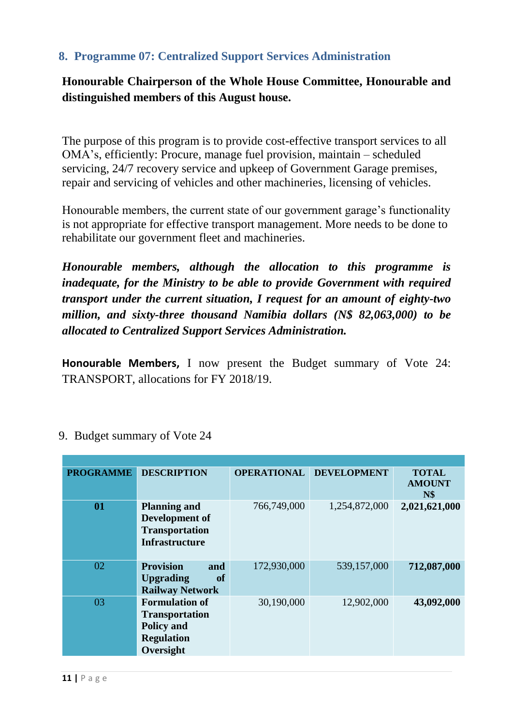#### <span id="page-10-0"></span>**8. Programme 07: Centralized Support Services Administration**

**Honourable Chairperson of the Whole House Committee, Honourable and distinguished members of this August house.**

The purpose of this program is to provide cost-effective transport services to all OMA's, efficiently: Procure, manage fuel provision, maintain – scheduled servicing, 24/7 recovery service and upkeep of Government Garage premises, repair and servicing of vehicles and other machineries, licensing of vehicles.

Honourable members, the current state of our government garage's functionality is not appropriate for effective transport management. More needs to be done to rehabilitate our government fleet and machineries.

*Honourable members, although the allocation to this programme is inadequate, for the Ministry to be able to provide Government with required transport under the current situation, I request for an amount of eighty-two million, and sixty-three thousand Namibia dollars (N\$ 82,063,000) to be allocated to Centralized Support Services Administration.*

**Honourable Members,** I now present the Budget summary of Vote 24: TRANSPORT, allocations for FY 2018/19.

<span id="page-10-2"></span>

| <b>PROGRAMME</b> | <b>DESCRIPTION</b>                                                                                    | <b>OPERATIONAL</b> | <b>DEVELOPMENT</b> | <b>TOTAL</b><br><b>AMOUNT</b><br><b>N\$</b> |
|------------------|-------------------------------------------------------------------------------------------------------|--------------------|--------------------|---------------------------------------------|
| 01               | <b>Planning and</b><br>Development of<br><b>Transportation</b><br><b>Infrastructure</b>               | 766,749,000        | 1,254,872,000      | 2,021,621,000                               |
| 02               | <b>Provision</b><br>and<br><b>of</b><br><b>Upgrading</b><br><b>Railway Network</b>                    | 172,930,000        | 539,157,000        | 712,087,000                                 |
| 03               | <b>Formulation of</b><br><b>Transportation</b><br><b>Policy and</b><br><b>Regulation</b><br>Oversight | 30,190,000         | 12,902,000         | 43,092,000                                  |

<span id="page-10-1"></span>9. Budget summary of Vote 24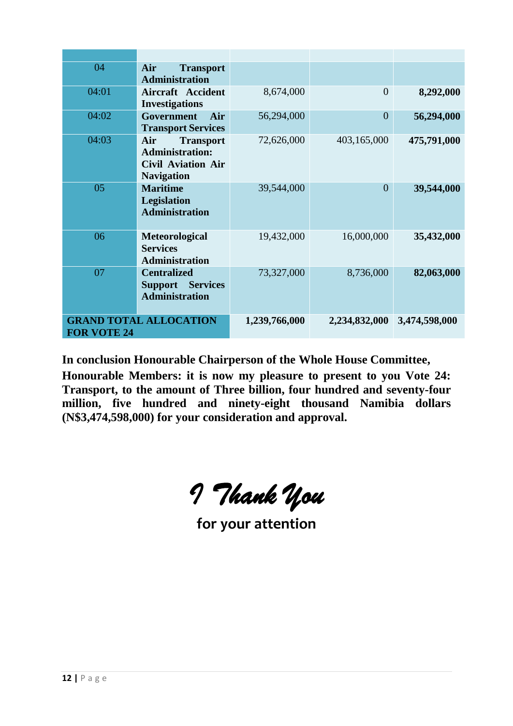| 04                 | Air<br><b>Transport</b><br><b>Administration</b>                                                    |               |                |               |
|--------------------|-----------------------------------------------------------------------------------------------------|---------------|----------------|---------------|
| 04:01              | <b>Aircraft Accident</b><br><b>Investigations</b>                                                   | 8,674,000     | $\Omega$       | 8,292,000     |
| 04:02              | Government<br>Air<br><b>Transport Services</b>                                                      | 56,294,000    | $\overline{0}$ | 56,294,000    |
| 04:03              | Air<br><b>Transport</b><br><b>Administration:</b><br><b>Civil Aviation Air</b><br><b>Navigation</b> | 72,626,000    | 403,165,000    | 475,791,000   |
| 05                 | <b>Maritime</b><br><b>Legislation</b><br><b>Administration</b>                                      | 39,544,000    | $\overline{0}$ | 39,544,000    |
| 06                 | Meteorological<br><b>Services</b><br><b>Administration</b>                                          | 19,432,000    | 16,000,000     | 35,432,000    |
| 07                 | <b>Centralized</b><br><b>Support Services</b><br><b>Administration</b>                              | 73,327,000    | 8,736,000      | 82,063,000    |
| <b>FOR VOTE 24</b> | <b>GRAND TOTAL ALLOCATION</b>                                                                       | 1,239,766,000 | 2,234,832,000  | 3,474,598,000 |

**In conclusion Honourable Chairperson of the Whole House Committee,**

**Honourable Members: it is now my pleasure to present to you Vote 24: Transport, to the amount of Three billion, four hundred and seventy-four million, five hundred and ninety-eight thousand Namibia dollars (N\$3,474,598,000) for your consideration and approval.**

*I Thank You* 

**for your attention**